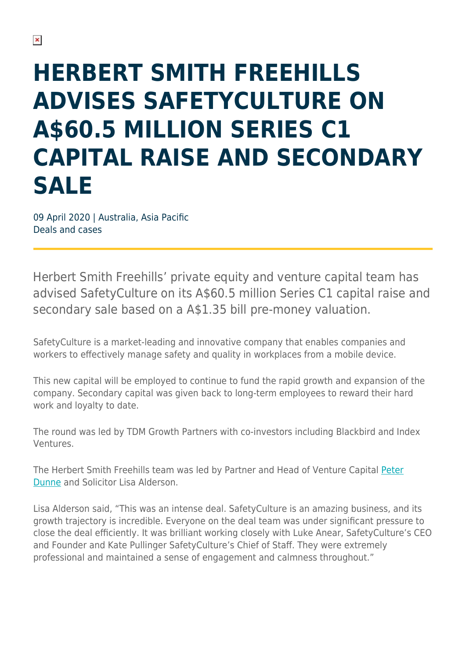## **HERBERT SMITH FREEHILLS ADVISES SAFETYCULTURE ON A\$60.5 MILLION SERIES C1 CAPITAL RAISE AND SECONDARY SALE**

09 April 2020 | Australia, Asia Pacific Deals and cases

Herbert Smith Freehills' private equity and venture capital team has advised SafetyCulture on its A\$60.5 million Series C1 capital raise and secondary sale based on a A\$1.35 bill pre-money valuation.

SafetyCulture is a market-leading and innovative company that enables companies and workers to effectively manage safety and quality in workplaces from a mobile device.

This new capital will be employed to continue to fund the rapid growth and expansion of the company. Secondary capital was given back to long-term employees to reward their hard work and loyalty to date.

The round was led by TDM Growth Partners with co-investors including Blackbird and Index Ventures.

The Herbert Smith Freehills team was led by Partner and Head of Venture Capital [Peter](https://www.herbertsmithfreehills.com/our-people/peter-dunne) [Dunne](https://www.herbertsmithfreehills.com/our-people/peter-dunne) and Solicitor Lisa Alderson.

Lisa Alderson said, "This was an intense deal. SafetyCulture is an amazing business, and its growth trajectory is incredible. Everyone on the deal team was under significant pressure to close the deal efficiently. It was brilliant working closely with Luke Anear, SafetyCulture's CEO and Founder and Kate Pullinger SafetyCulture's Chief of Staff. They were extremely professional and maintained a sense of engagement and calmness throughout."